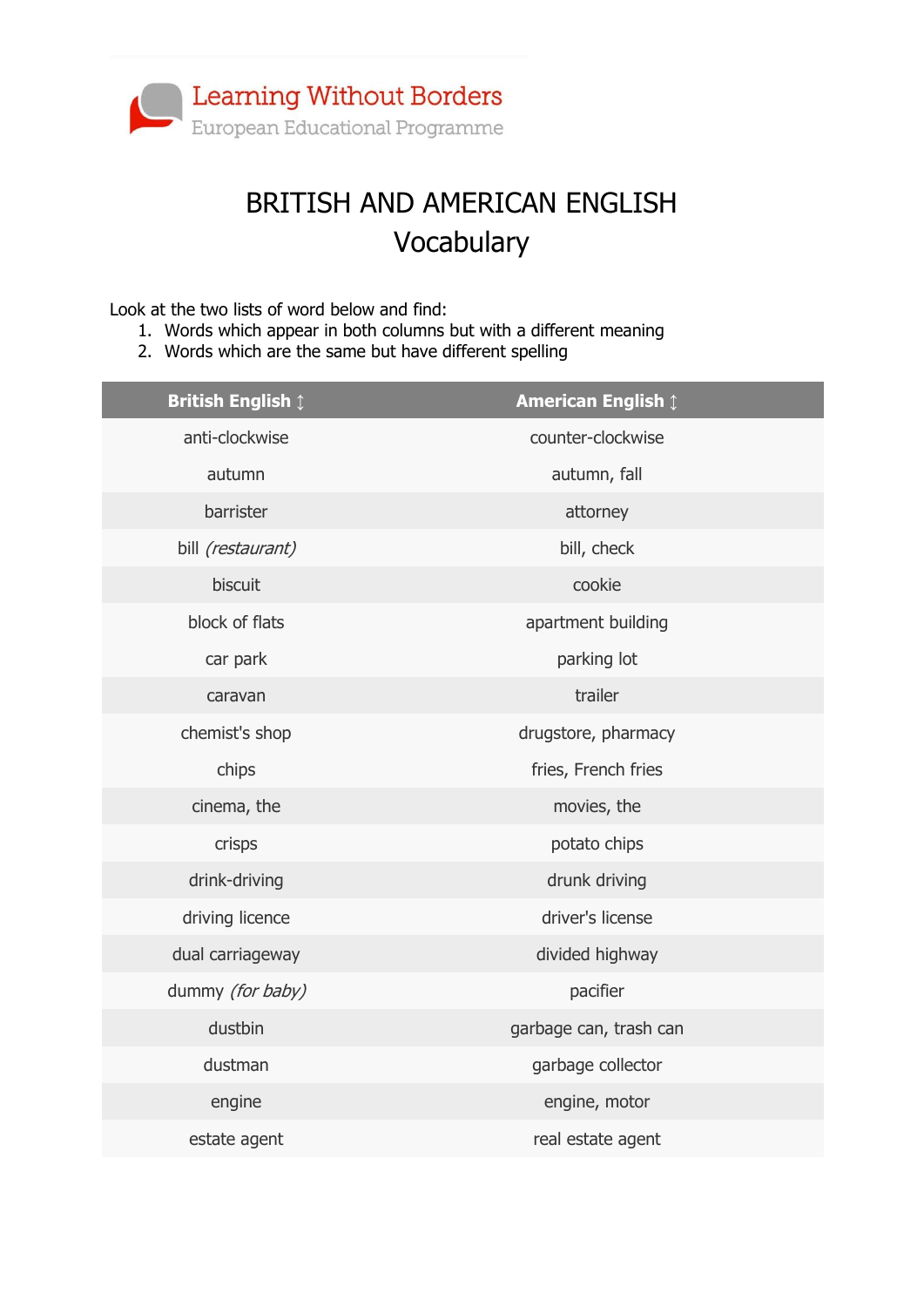

## BRITISH AND AMERICAN ENGLISH Vocabulary

Look at the two lists of word below and find:

- 1. Words which appear in both columns but with a different meaning
- 2. Words which are the same but have different spelling

| <b>British English 1</b> | <b>American English 1</b> |
|--------------------------|---------------------------|
| anti-clockwise           | counter-clockwise         |
| autumn                   | autumn, fall              |
| barrister                | attorney                  |
| bill (restaurant)        | bill, check               |
| biscuit                  | cookie                    |
| block of flats           | apartment building        |
| car park                 | parking lot               |
| caravan                  | trailer                   |
| chemist's shop           | drugstore, pharmacy       |
| chips                    | fries, French fries       |
| cinema, the              | movies, the               |
| crisps                   | potato chips              |
| drink-driving            | drunk driving             |
| driving licence          | driver's license          |
| dual carriageway         | divided highway           |
| dummy (for baby)         | pacifier                  |
| dustbin                  | garbage can, trash can    |
| dustman                  | garbage collector         |
| engine                   | engine, motor             |
| estate agent             | real estate agent         |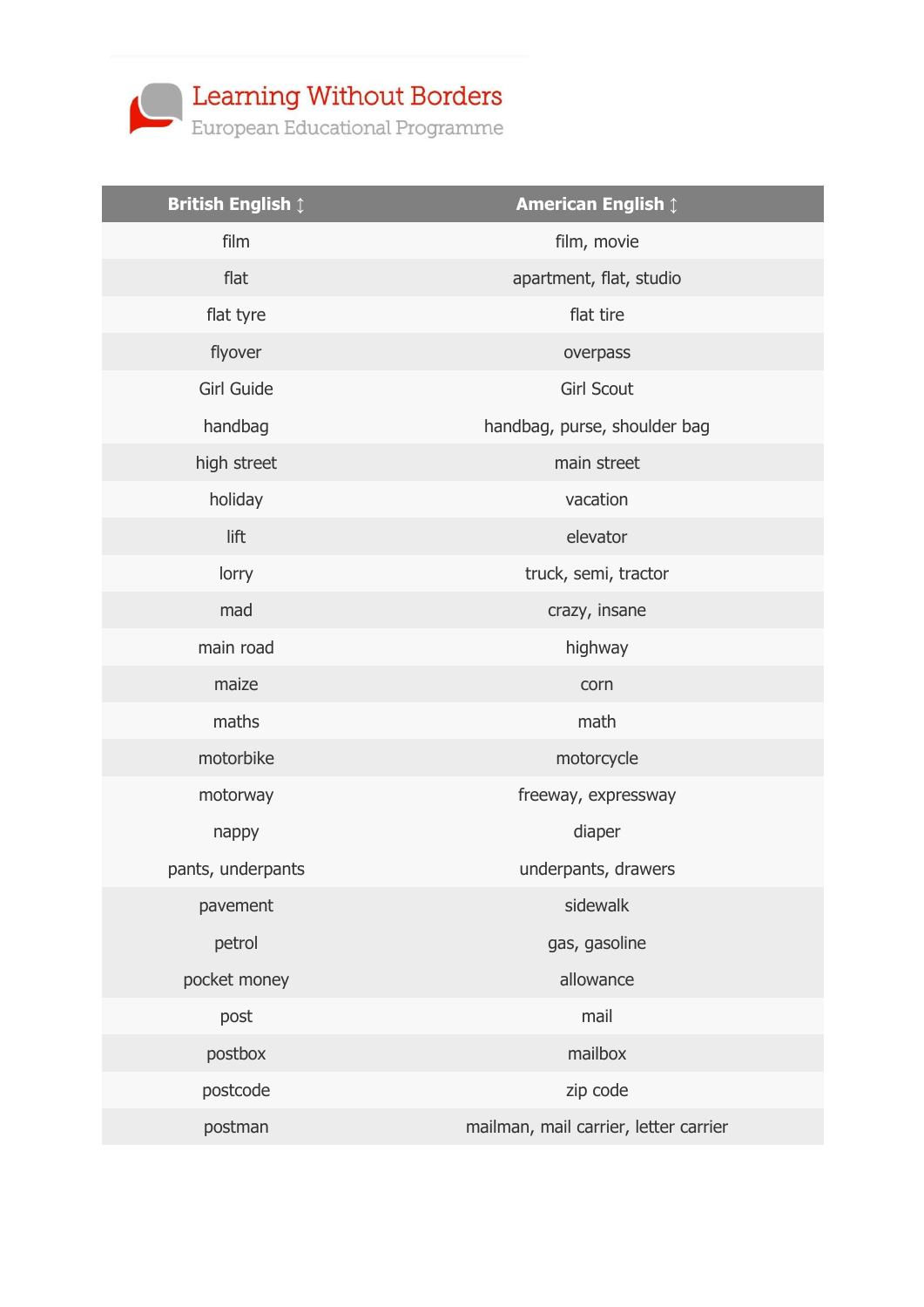

| <b>British English 1</b> | <b>American English 1</b>             |
|--------------------------|---------------------------------------|
| film                     | film, movie                           |
| flat                     | apartment, flat, studio               |
| flat tyre                | flat tire                             |
| flyover                  | overpass                              |
| <b>Girl Guide</b>        | <b>Girl Scout</b>                     |
| handbag                  | handbag, purse, shoulder bag          |
| high street              | main street                           |
| holiday                  | vacation                              |
| lift                     | elevator                              |
| lorry                    | truck, semi, tractor                  |
| mad                      | crazy, insane                         |
| main road                | highway                               |
| maize                    | corn                                  |
| maths                    | math                                  |
| motorbike                | motorcycle                            |
| motorway                 | freeway, expressway                   |
| nappy                    | diaper                                |
| pants, underpants        | underpants, drawers                   |
| pavement                 | sidewalk                              |
| petrol                   | gas, gasoline                         |
| pocket money             | allowance                             |
| post                     | mail                                  |
| postbox                  | mailbox                               |
| postcode                 | zip code                              |
| postman                  | mailman, mail carrier, letter carrier |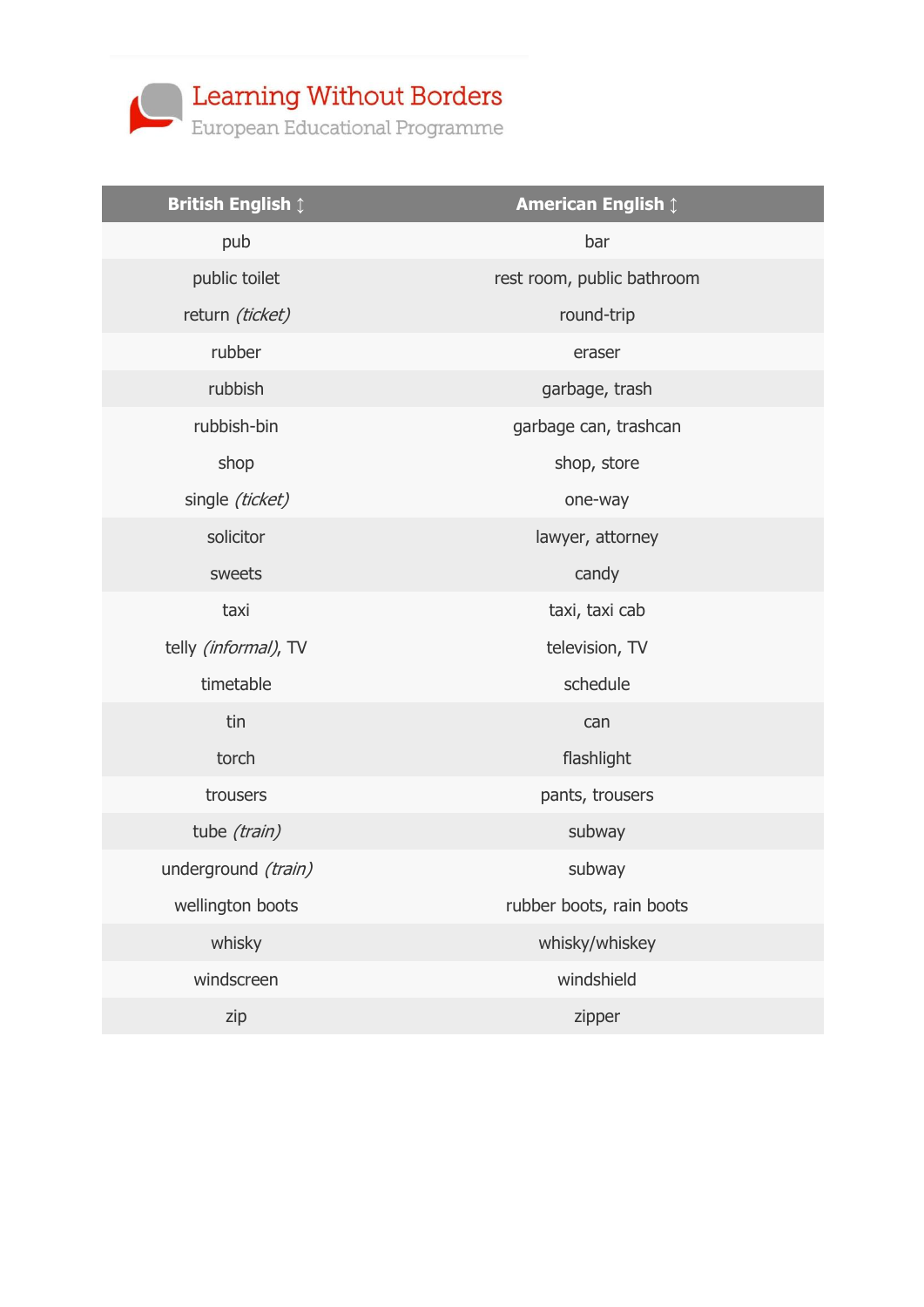

| <b>British English 1</b> | <b>American English 1</b>  |
|--------------------------|----------------------------|
| pub                      | bar                        |
| public toilet            | rest room, public bathroom |
| return (ticket)          | round-trip                 |
| rubber                   | eraser                     |
| rubbish                  | garbage, trash             |
| rubbish-bin              | garbage can, trashcan      |
| shop                     | shop, store                |
| single (ticket)          | one-way                    |
| solicitor                | lawyer, attorney           |
| sweets                   | candy                      |
| taxi                     | taxi, taxi cab             |
| telly (informal), TV     | television, TV             |
| timetable                | schedule                   |
| tin                      | can                        |
| torch                    | flashlight                 |
| trousers                 | pants, trousers            |
| tube (train)             | subway                     |
| underground (train)      | subway                     |
| wellington boots         | rubber boots, rain boots   |
| whisky                   | whisky/whiskey             |
| windscreen               | windshield                 |
| zip                      | zipper                     |